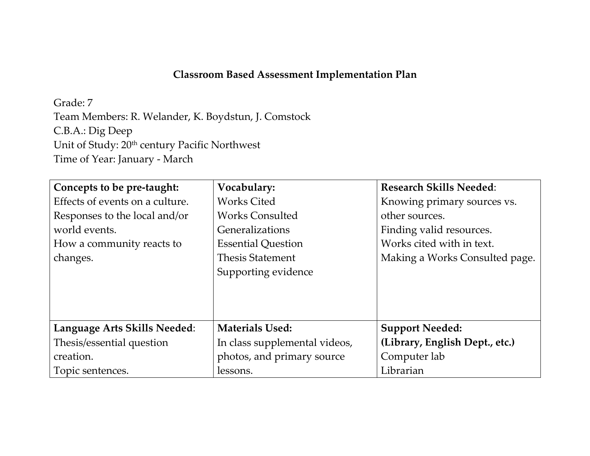## **Classroom Based Assessment Implementation Plan**

Grade: 7

Team Members: R. Welander, K. Boydstun, J. Comstock C.B.A.: Dig Deep Unit of Study:  $20<sup>th</sup>$  century Pacific Northwest Time of Year: January - March

| Concepts to be pre-taught:      | Vocabulary:                   | <b>Research Skills Needed:</b> |
|---------------------------------|-------------------------------|--------------------------------|
| Effects of events on a culture. | <b>Works Cited</b>            | Knowing primary sources vs.    |
| Responses to the local and/or   | <b>Works Consulted</b>        | other sources.                 |
| world events.                   | Generalizations               | Finding valid resources.       |
| How a community reacts to       | <b>Essential Question</b>     | Works cited with in text.      |
| changes.                        | <b>Thesis Statement</b>       | Making a Works Consulted page. |
|                                 | Supporting evidence           |                                |
|                                 |                               |                                |
|                                 |                               |                                |
|                                 |                               |                                |
| Language Arts Skills Needed:    | <b>Materials Used:</b>        | <b>Support Needed:</b>         |
| Thesis/essential question       | In class supplemental videos, | (Library, English Dept., etc.) |
| creation.                       | photos, and primary source    | Computer lab                   |
| Topic sentences.                | lessons.                      | Librarian                      |